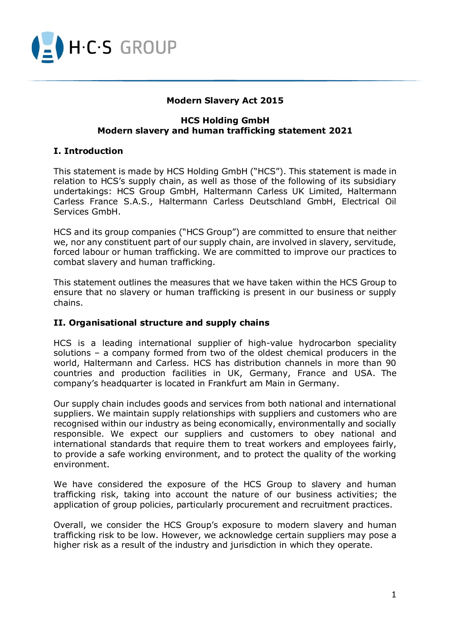

# **Modern Slavery Act 2015**

#### **HCS Holding GmbH Modern slavery and human trafficking statement 2021**

#### **I. Introduction**

This statement is made by HCS Holding GmbH ("HCS"). This statement is made in relation to HCS's supply chain, as well as those of the following of its subsidiary undertakings: HCS Group GmbH, Haltermann Carless UK Limited, Haltermann Carless France S.A.S., Haltermann Carless Deutschland GmbH, Electrical Oil Services GmbH.

HCS and its group companies ("HCS Group") are committed to ensure that neither we, nor any constituent part of our supply chain, are involved in slavery, servitude, forced labour or human trafficking. We are committed to improve our practices to combat slavery and human trafficking.

This statement outlines the measures that we have taken within the HCS Group to ensure that no slavery or human trafficking is present in our business or supply chains.

#### **II. Organisational structure and supply chains**

HCS is a leading international supplier of high-value hydrocarbon speciality solutions – a company formed from two of the oldest chemical producers in the world, Haltermann and Carless. HCS has distribution channels in more than 90 countries and production facilities in UK, Germany, France and USA. The company's headquarter is located in Frankfurt am Main in Germany.

Our supply chain includes goods and services from both national and international suppliers. We maintain supply relationships with suppliers and customers who are recognised within our industry as being economically, environmentally and socially responsible. We expect our suppliers and customers to obey national and international standards that require them to treat workers and employees fairly, to provide a safe working environment, and to protect the quality of the working environment.

We have considered the exposure of the HCS Group to slavery and human trafficking risk, taking into account the nature of our business activities; the application of group policies, particularly procurement and recruitment practices.

Overall, we consider the HCS Group's exposure to modern slavery and human trafficking risk to be low. However, we acknowledge certain suppliers may pose a higher risk as a result of the industry and jurisdiction in which they operate.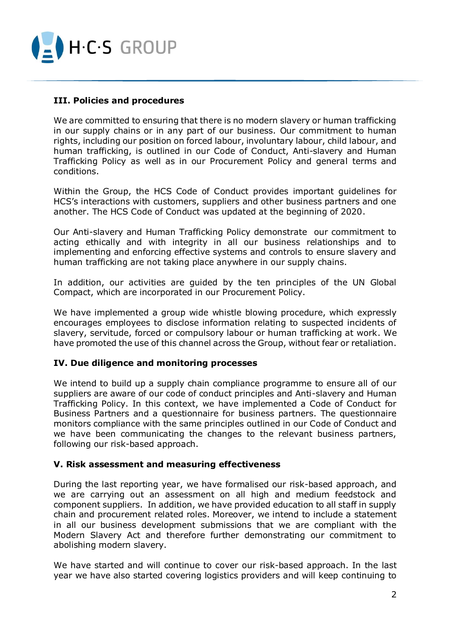

# **III. Policies and procedures**

We are committed to ensuring that there is no modern slavery or human trafficking in our supply chains or in any part of our business. Our commitment to human rights, including our position on forced labour, involuntary labour, child labour, and human trafficking, is outlined in our Code of Conduct, Anti-slavery and Human Trafficking Policy as well as in our Procurement Policy and general terms and conditions.

Within the Group, the HCS Code of Conduct provides important guidelines for HCS's interactions with customers, suppliers and other business partners and one another. The HCS Code of Conduct was updated at the beginning of 2020.

Our Anti-slavery and Human Trafficking Policy demonstrate our commitment to acting ethically and with integrity in all our business relationships and to implementing and enforcing effective systems and controls to ensure slavery and human trafficking are not taking place anywhere in our supply chains.

In addition, our activities are guided by the ten principles of the UN Global Compact, which are incorporated in our Procurement Policy.

We have implemented a group wide whistle blowing procedure, which expressly encourages employees to disclose information relating to suspected incidents of slavery, servitude, forced or compulsory labour or human trafficking at work. We have promoted the use of this channel across the Group, without fear or retaliation.

# **IV. Due diligence and monitoring processes**

We intend to build up a supply chain compliance programme to ensure all of our suppliers are aware of our code of conduct principles and Anti-slavery and Human Trafficking Policy. In this context, we have implemented a Code of Conduct for Business Partners and a questionnaire for business partners. The questionnaire monitors compliance with the same principles outlined in our Code of Conduct and we have been communicating the changes to the relevant business partners, following our risk-based approach.

# **V. Risk assessment and measuring effectiveness**

During the last reporting year, we have formalised our risk-based approach, and we are carrying out an assessment on all high and medium feedstock and component suppliers. In addition, we have provided education to all staff in supply chain and procurement related roles. Moreover, we intend to include a statement in all our business development submissions that we are compliant with the Modern Slavery Act and therefore further demonstrating our commitment to abolishing modern slavery.

We have started and will continue to cover our risk-based approach. In the last year we have also started covering logistics providers and will keep continuing to